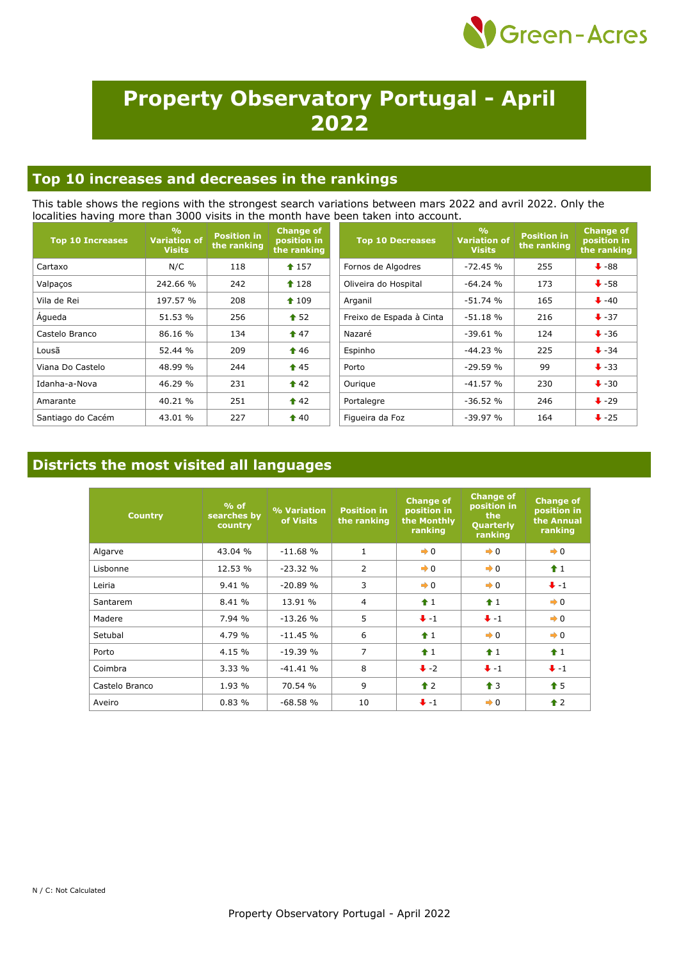

# **Property Observatory Portugal - April 2022**

### **Top 10 increases and decreases in the rankings**

This table shows the regions with the strongest search variations between mars 2022 and avril 2022. Only the localities having more than 3000 visits in the month have been taken into account.

| <b>Top 10 Increases</b> | $\frac{9}{6}$<br><b>Variation of</b><br><b>Visits</b> | <b>Position in</b><br>the ranking | <b>Change of</b><br>position in<br>the ranking | <b>Top 10 Decreases</b>  | O <sub>0</sub><br><b>Variation of</b><br><b>Visits</b> | <b>Position in</b><br>the ranking | <b>Change of</b><br>position in<br>the ranking |
|-------------------------|-------------------------------------------------------|-----------------------------------|------------------------------------------------|--------------------------|--------------------------------------------------------|-----------------------------------|------------------------------------------------|
| Cartaxo                 | N/C                                                   | 118                               | $\textbf{\textcolor{blue}{\bullet}} 157$       | Fornos de Algodres       | $-72.45%$                                              | 255                               | $\bigstar$ -88                                 |
| Valpaços                | 242.66 %                                              | 242                               | $\textbf{\textcolor{red}{\bullet}} 128$        | Oliveira do Hospital     | $-64.24%$                                              | 173                               | $\bigstar$ -58                                 |
| Vila de Rei             | 197.57 %                                              | 208                               | $\textcolor{blue}{\bigstar}$ 109               | Arganil                  | $-51.74%$                                              | 165                               | $\bigvee$ -40                                  |
| Águeda                  | 51.53 %                                               | 256                               | $\triangle$ 52                                 | Freixo de Espada à Cinta | $-51.18%$                                              | 216                               | $+37$                                          |
| Castelo Branco          | 86.16 %                                               | 134                               | $\triangle$ 47                                 | Nazaré                   | $-39.61%$                                              | 124                               | $\bigstar$ -36                                 |
| Lousã                   | 52.44 %                                               | 209                               | $\textcolor{blue}{\bullet}$ 46                 | Espinho                  | $-44.23%$                                              | 225                               | $\bullet$ -34                                  |
| Viana Do Castelo        | 48.99 %                                               | 244                               | $\hat{1}$ 45                                   | Porto                    | $-29.59%$                                              | 99                                | $\ddot{\bullet}$ -33                           |
| Idanha-a-Nova           | 46.29 %                                               | 231                               | $\triangle$ 42                                 | Ourique                  | $-41.57%$                                              | 230                               | $\bigvee$ -30                                  |
| Amarante                | 40.21 %                                               | 251                               | $\triangle$ 42                                 | Portalegre               | $-36.52%$                                              | 246                               | $\ddot{\bullet}$ -29                           |
| Santiago do Cacém       | 43.01 %                                               | 227                               | $\triangle$ 40                                 | Figueira da Foz          | $-39.97%$                                              | 164                               | $\ddot{\bullet}$ -25                           |

### **Districts the most visited all languages**

| <b>Country</b> | $%$ of<br>searches by<br>country | % Variation<br>of Visits | <b>Position in</b><br>the ranking | <b>Change of</b><br>position in<br>the Monthly<br>ranking | <b>Change of</b><br>position in<br>the<br>Quarterly<br>ranking | <b>Change of</b><br>position in<br>the Annual<br>ranking |
|----------------|----------------------------------|--------------------------|-----------------------------------|-----------------------------------------------------------|----------------------------------------------------------------|----------------------------------------------------------|
| Algarve        | 43.04 %                          | $-11.68%$                | $\mathbf{1}$                      | $\rightarrow 0$                                           | $\rightarrow 0$                                                | $\rightarrow 0$                                          |
| Lisbonne       | 12.53 %                          | $-23.32%$                | $\overline{2}$                    | $\rightarrow 0$                                           | $\rightarrow 0$                                                | $\hat{\mathbf{r}}$ 1                                     |
| Leiria         | 9.41%                            | $-20.89%$                | 3                                 | $\rightarrow 0$                                           | $\rightarrow 0$                                                | $+ -1$                                                   |
| Santarem       | 8.41 %                           | 13.91 %                  | $\overline{4}$                    | $\hat{1}$                                                 | $\hat{1}$                                                      | $\rightarrow 0$                                          |
| Madere         | 7.94 %                           | $-13.26%$                | 5                                 | $+ -1$                                                    | $+ -1$                                                         | $\rightarrow 0$                                          |
| Setubal        | 4.79 %                           | $-11.45%$                | 6                                 | $\hat{1}$                                                 | $\rightarrow 0$                                                | $\rightarrow 0$                                          |
| Porto          | 4.15 %                           | $-19.39%$                | 7                                 | $\hat{1}$                                                 | $\hat{1}$                                                      | $\hat{\mathbf{r}}$ 1                                     |
| Coimbra        | 3.33%                            | $-41.41%$                | 8                                 | $\ddot{\bullet}$ -2                                       | $\bigcup$ -1                                                   | $+ -1$                                                   |
| Castelo Branco | 1.93 %                           | 70.54 %                  | 9                                 | $\triangle$ 2                                             | $\triangleq$ 3                                                 | $\bullet$ 5                                              |
| Aveiro         | 0.83%                            | $-68.58%$                | 10                                | $+ -1$                                                    | $\rightarrow 0$                                                | $\triangle$ 2                                            |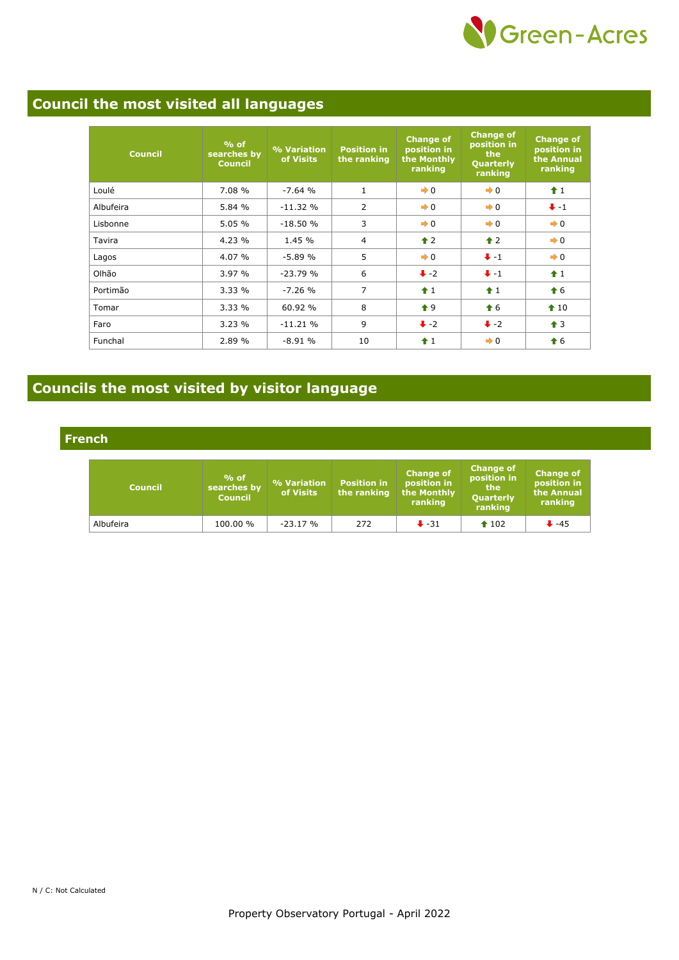

## **Council the most visited all languages**

| <b>Council</b> | $%$ of<br>searches by<br><b>Council</b> | % Variation<br>of Visits | <b>Position in</b><br>the ranking | <b>Change of</b><br>position in<br>the Monthly<br>ranking | <b>Change of</b><br>position in<br>the<br>Quarterly<br>ranking | <b>Change of</b><br>position in<br>the Annual<br>ranking |
|----------------|-----------------------------------------|--------------------------|-----------------------------------|-----------------------------------------------------------|----------------------------------------------------------------|----------------------------------------------------------|
| Loulé          | 7.08 %                                  | $-7.64%$                 | $\mathbf{1}$                      | $\rightarrow 0$                                           | $\rightarrow 0$                                                | $\hat{1}$                                                |
| Albufeira      | 5.84 %                                  | $-11.32%$                | $\overline{2}$                    | $\rightarrow 0$                                           | $\rightarrow 0$                                                | $+ -1$                                                   |
| Lisbonne       | 5.05%                                   | $-18.50%$                | 3                                 | $\rightarrow 0$                                           | $\rightarrow 0$                                                | $\rightarrow 0$                                          |
| Tavira         | 4.23 %                                  | 1.45 %                   | 4                                 | $\hat{\mathbf{r}}$ 2                                      | $\triangle$ 2                                                  | $\rightarrow 0$                                          |
| Lagos          | 4.07 %                                  | $-5.89%$                 | 5                                 | $\rightarrow 0$                                           | $+ -1$                                                         | $\rightarrow 0$                                          |
| Olhão          | 3.97%                                   | $-23.79%$                | 6                                 | $\ddot{\bullet}$ -2                                       | $+ -1$                                                         | $f$ 1                                                    |
| Portimão       | 3.33%                                   | $-7.26%$                 | 7                                 | $\hat{+}1$                                                | $\hat{+}1$                                                     | $\bigstar$ 6                                             |
| Tomar          | 3.33%                                   | 60.92 %                  | 8                                 | $\bullet$ 9                                               | $\textcolor{red}{\bigstar}$ 6                                  | $\triangle$ 10                                           |
| Faro           | 3.23%                                   | $-11.21%$                | 9                                 | $\ddot{+}$ -2                                             | $\ddot{\bullet}$ -2                                            | $\uparrow$ 3                                             |
| Funchal        | 2.89 %                                  | $-8.91%$                 | 10                                | $\hat{1}$                                                 | $\rightarrow 0$                                                | $\hat{\mathbf{f}}$ 6                                     |

# **Councils the most visited by visitor language**

**French**

| <b>Council</b> | $%$ of<br>searches by<br><b>Council</b> | % Variation<br>of Visits | <b>Position in</b><br>the ranking | <b>Change of</b><br>position in<br>the Monthly<br>ranking | <b>Change of</b><br>position in<br>the<br>Quarterly<br>ranking | <b>Change of</b><br>position in<br>the Annual<br>ranking |
|----------------|-----------------------------------------|--------------------------|-----------------------------------|-----------------------------------------------------------|----------------------------------------------------------------|----------------------------------------------------------|
| Albufeira      | 100.00 %                                | $-23.17%$                | 272                               | $\ddot{\bullet}$ -31                                      | $\textbf{102}$                                                 | $+ -45$                                                  |